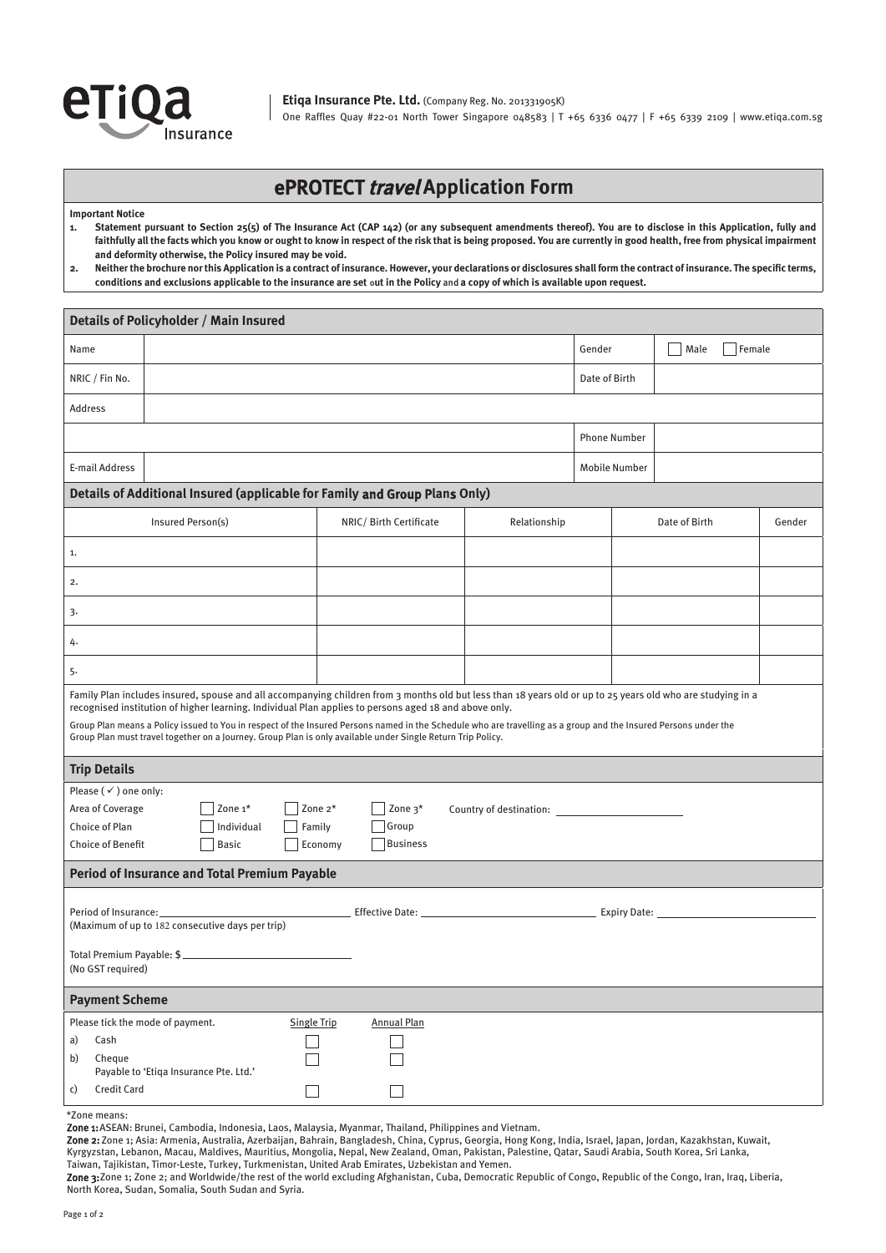

**Etiqa Insurance Pte. Ltd.** (Company Reg. No. 201331905K) One Raffles Quay #22-01 North Tower Singapore 048583 | T +65 6336 0477 | F +65 6339 2109 | www.etiqa.com.sg

## ePROTECT travel **Application Form**

**Important Notice**

**1. Statement pursuant to Section 25(5) of The Insurance Act (CAP 142) (or any subsequent amendments thereof). You are to disclose in this Application, fully and faithfully all the facts which you know or ought to know in respect of the risk that is being proposed. You are currently in good health, free from physical impairment and deformity otherwise, the Policy insured may be void.**

| 2. Neither the brochure nor this Application is a contract of insurance. However, your declarations or disclosures shall form the contract of insurance. The specific terms, |
|------------------------------------------------------------------------------------------------------------------------------------------------------------------------------|
| conditions and exclusions applicable to the insurance are set out in the Policy and a copy of which is available upon request.                                               |

| Details of Policyholder / Main Insured                                                                                                                                                                                                                                         |                    |                        |              |                     |                      |        |  |  |
|--------------------------------------------------------------------------------------------------------------------------------------------------------------------------------------------------------------------------------------------------------------------------------|--------------------|------------------------|--------------|---------------------|----------------------|--------|--|--|
| Name                                                                                                                                                                                                                                                                           |                    |                        |              | Gender              | Female<br>Male       |        |  |  |
| NRIC / Fin No.                                                                                                                                                                                                                                                                 |                    |                        |              | Date of Birth       |                      |        |  |  |
| Address                                                                                                                                                                                                                                                                        |                    |                        |              |                     |                      |        |  |  |
|                                                                                                                                                                                                                                                                                |                    |                        |              | <b>Phone Number</b> |                      |        |  |  |
| E-mail Address                                                                                                                                                                                                                                                                 |                    |                        |              |                     | <b>Mobile Number</b> |        |  |  |
| Details of Additional Insured (applicable for Family and Group Plans Only)                                                                                                                                                                                                     |                    |                        |              |                     |                      |        |  |  |
| Insured Person(s)                                                                                                                                                                                                                                                              |                    | NRIC/Birth Certificate | Relationship |                     | Date of Birth        | Gender |  |  |
| 1.                                                                                                                                                                                                                                                                             |                    |                        |              |                     |                      |        |  |  |
| 2.                                                                                                                                                                                                                                                                             |                    |                        |              |                     |                      |        |  |  |
| 3.                                                                                                                                                                                                                                                                             |                    |                        |              |                     |                      |        |  |  |
| 4.                                                                                                                                                                                                                                                                             |                    |                        |              |                     |                      |        |  |  |
| 5.                                                                                                                                                                                                                                                                             |                    |                        |              |                     |                      |        |  |  |
| Family Plan includes insured, spouse and all accompanying children from 3 months old but less than 18 years old or up to 25 years old who are studying in a<br>recognised institution of higher learning. Individual Plan applies to persons aged 18 and above only.           |                    |                        |              |                     |                      |        |  |  |
| Group Plan means a Policy issued to You in respect of the Insured Persons named in the Schedule who are travelling as a group and the Insured Persons under the<br>Group Plan must travel together on a Journey. Group Plan is only available under Single Return Trip Policy. |                    |                        |              |                     |                      |        |  |  |
| <b>Trip Details</b>                                                                                                                                                                                                                                                            |                    |                        |              |                     |                      |        |  |  |
| Please $(\checkmark)$ one only:                                                                                                                                                                                                                                                |                    |                        |              |                     |                      |        |  |  |
| Zone <sub>1</sub> *<br>Area of Coverage                                                                                                                                                                                                                                        | Zone 3*<br>Zone 2* |                        |              |                     |                      |        |  |  |
| Choice of Plan<br>Individual                                                                                                                                                                                                                                                   | Family             | Group                  |              |                     |                      |        |  |  |
| <b>Choice of Benefit</b><br><b>Basic</b>                                                                                                                                                                                                                                       | Economy            | Business               |              |                     |                      |        |  |  |
| <b>Period of Insurance and Total Premium Payable</b>                                                                                                                                                                                                                           |                    |                        |              |                     |                      |        |  |  |
| Period of Insurance:<br>(Maximum of up to 182 consecutive days per trip)                                                                                                                                                                                                       |                    |                        |              |                     |                      |        |  |  |
| (No GST required)                                                                                                                                                                                                                                                              |                    |                        |              |                     |                      |        |  |  |
| <b>Payment Scheme</b>                                                                                                                                                                                                                                                          |                    |                        |              |                     |                      |        |  |  |
| Please tick the mode of payment.                                                                                                                                                                                                                                               | <b>Single Trip</b> | <b>Annual Plan</b>     |              |                     |                      |        |  |  |
| a)<br>Cash                                                                                                                                                                                                                                                                     |                    |                        |              |                     |                      |        |  |  |
| b)<br>Cheque<br>Payable to 'Etiqa Insurance Pte. Ltd.'                                                                                                                                                                                                                         |                    |                        |              |                     |                      |        |  |  |
| <b>Credit Card</b><br>c)                                                                                                                                                                                                                                                       |                    |                        |              |                     |                      |        |  |  |

## \*Zone means:

Zone 1: ASEAN: Brunei, Cambodia, Indonesia, Laos, Malaysia, Myanmar, Thailand, Philippines and Vietnam.

Zone 2: Zone 1; Asia: Armenia, Australia, Azerbaijan, Bahrain, Bangladesh, China, Cyprus, Georgia, Hong Kong, India, Israel, Japan, Jordan, Kazakhstan, Kuwait, Kyrgyzstan, Lebanon, Macau, Maldives, Mauritius, Mongolia, Nepal, New Zealand, Oman, Pakistan, Palestine, Qatar, Saudi Arabia, South Korea, Sri Lanka, Taiwan, Tajikistan, Timor-Leste, Turkey, Turkmenistan, United Arab Emirates, Uzbekistan and Yemen.

Zone 3: Zone 1; Zone 2; and Worldwide/the rest of the world excluding Afghanistan, Cuba, Democratic Republic of Congo, Republic of the Congo, Iran, Iraq, Liberia, North Korea, Sudan, Somalia, South Sudan and Syria.